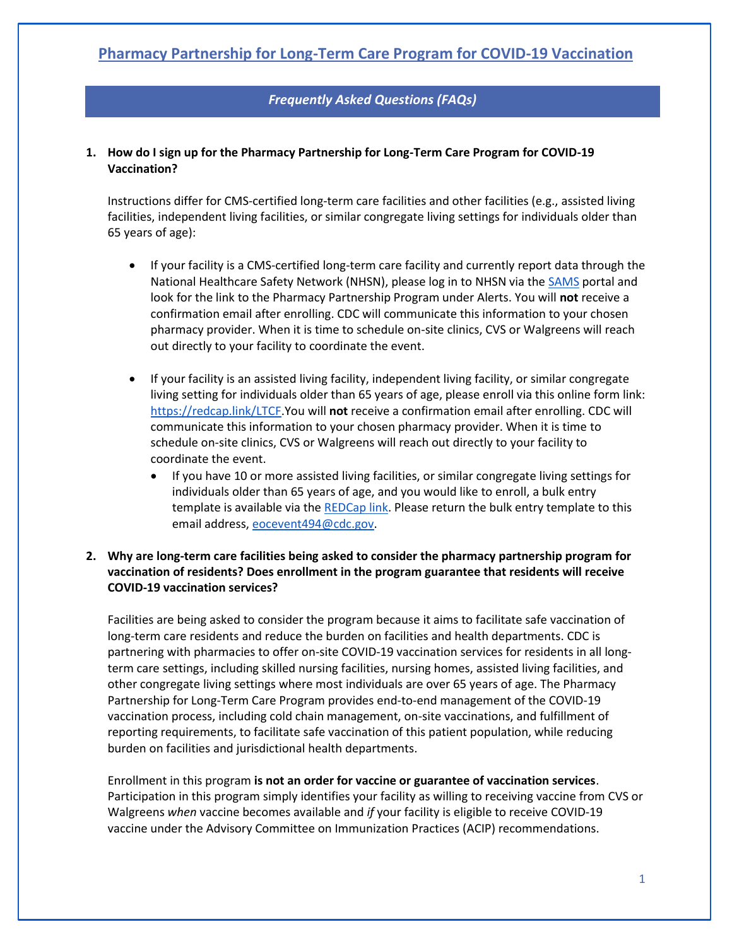# *Frequently Asked Questions (FAQs)*

### **1. How do I sign up for the Pharmacy Partnership for Long-Term Care Program for COVID-19 Vaccination?**

Instructions differ for CMS-certified long-term care facilities and other facilities (e.g., assisted living facilities, independent living facilities, or similar congregate living settings for individuals older than 65 years of age):

- If your facility is a CMS-certified long-term care facility and currently report data through the National Healthcare Safety Network (NHSN), please log in to NHSN via th[e SAMS](https://sams.cdc.gov/) portal and look for the link to the Pharmacy Partnership Program under Alerts. You will **not** receive a confirmation email after enrolling. CDC will communicate this information to your chosen pharmacy provider. When it is time to schedule on-site clinics, CVS or Walgreens will reach out directly to your facility to coordinate the event.
- If your facility is an assisted living facility, independent living facility, or similar congregate living setting for individuals older than 65 years of age, please enroll via this online form link: [https://redcap.link/LTCF.](https://redcap.link/LTCF)You will **not** receive a confirmation email after enrolling. CDC will communicate this information to your chosen pharmacy provider. When it is time to schedule on-site clinics, CVS or Walgreens will reach out directly to your facility to coordinate the event.
	- If you have 10 or more assisted living facilities, or similar congregate living settings for individuals older than 65 years of age, and you would like to enroll, a bulk entry template is available via the [REDCap link.](https://redcap.link/LTCF) Please return the bulk entry template to this email address, [eocevent494@cdc.gov.](mailto:eocevent494@cdc.gov)

# **2. Why are long-term care facilities being asked to consider the pharmacy partnership program for vaccination of residents? Does enrollment in the program guarantee that residents will receive COVID-19 vaccination services?**

Facilities are being asked to consider the program because it aims to facilitate safe vaccination of long-term care residents and reduce the burden on facilities and health departments. CDC is partnering with pharmacies to offer on-site COVID-19 vaccination services for residents in all longterm care settings, including skilled nursing facilities, nursing homes, assisted living facilities, and other congregate living settings where most individuals are over 65 years of age. The Pharmacy Partnership for Long-Term Care Program provides end-to-end management of the COVID-19 vaccination process, including cold chain management, on-site vaccinations, and fulfillment of reporting requirements, to facilitate safe vaccination of this patient population, while reducing burden on facilities and jurisdictional health departments.

Enrollment in this program **is not an order for vaccine or guarantee of vaccination services**. Participation in this program simply identifies your facility as willing to receiving vaccine from CVS or Walgreens *when* vaccine becomes available and *if* your facility is eligible to receive COVID-19 vaccine under the Advisory Committee on Immunization Practices (ACIP) recommendations.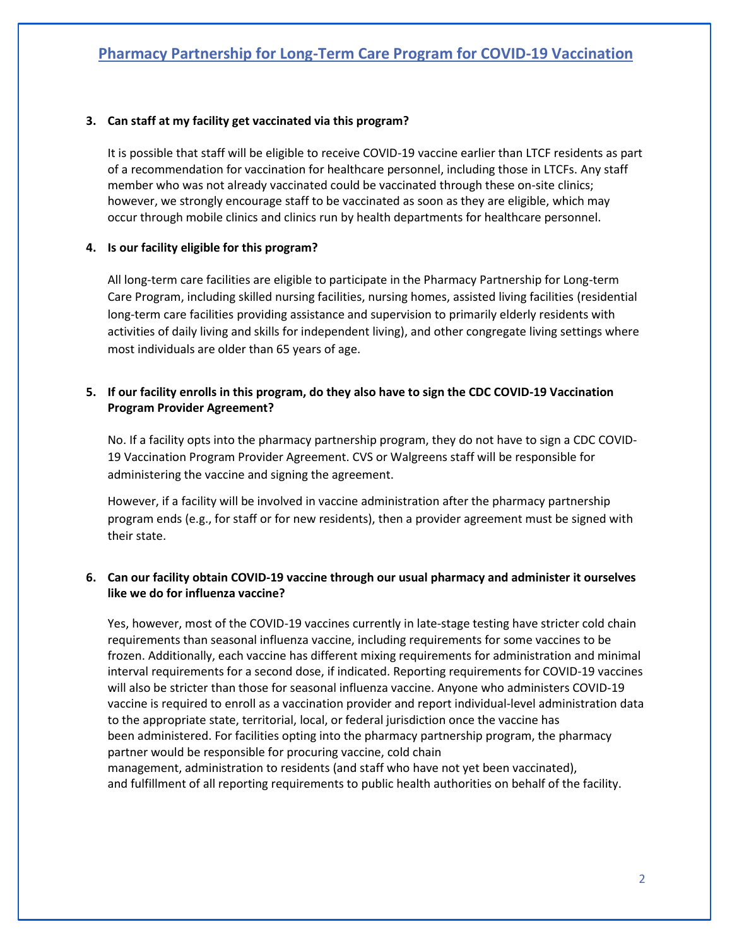### **3. Can staff at my facility get vaccinated via this program?**

It is possible that staff will be eligible to receive COVID-19 vaccine earlier than LTCF residents as part of a recommendation for vaccination for healthcare personnel, including those in LTCFs. Any staff member who was not already vaccinated could be vaccinated through these on-site clinics; however, we strongly encourage staff to be vaccinated as soon as they are eligible, which may occur through mobile clinics and clinics run by health departments for healthcare personnel.

#### **4. Is our facility eligible for this program?**

All long-term care facilities are eligible to participate in the Pharmacy Partnership for Long-term Care Program, including skilled nursing facilities, nursing homes, assisted living facilities (residential long-term care facilities providing assistance and supervision to primarily elderly residents with activities of daily living and skills for independent living), and other congregate living settings where most individuals are older than 65 years of age.

# **5. If our facility enrolls in this program, do they also have to sign the CDC COVID-19 Vaccination Program Provider Agreement?**

No. If a facility opts into the pharmacy partnership program, they do not have to sign a CDC COVID-19 Vaccination Program Provider Agreement. CVS or Walgreens staff will be responsible for administering the vaccine and signing the agreement.

However, if a facility will be involved in vaccine administration after the pharmacy partnership program ends (e.g., for staff or for new residents), then a provider agreement must be signed with their state.

### **6. Can our facility obtain COVID-19 vaccine through our usual pharmacy and administer it ourselves like we do for influenza vaccine?**

Yes, however, most of the COVID-19 vaccines currently in late-stage testing have stricter cold chain requirements than seasonal influenza vaccine, including requirements for some vaccines to be frozen. Additionally, each vaccine has different mixing requirements for administration and minimal interval requirements for a second dose, if indicated. Reporting requirements for COVID-19 vaccines will also be stricter than those for seasonal influenza vaccine. Anyone who administers COVID-19 vaccine is required to enroll as a vaccination provider and report individual-level administration data to the appropriate state, territorial, local, or federal jurisdiction once the vaccine has been administered. For facilities opting into the pharmacy partnership program, the pharmacy partner would be responsible for procuring vaccine, cold chain management, administration to residents (and staff who have not yet been vaccinated), and fulfillment of all reporting requirements to public health authorities on behalf of the facility.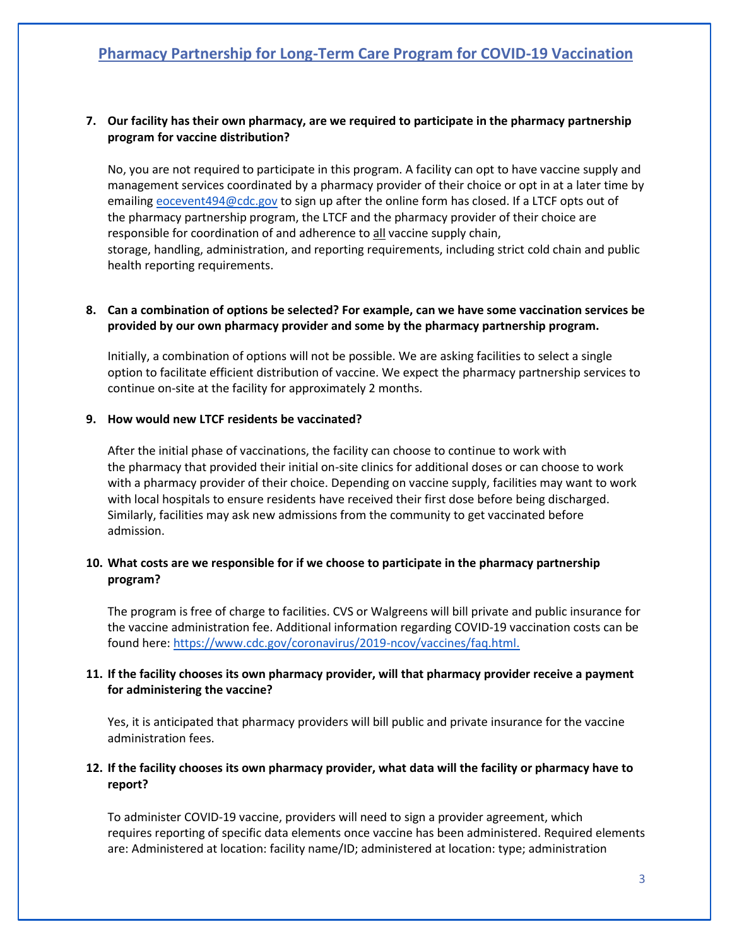# **Pharmacy Partnership for Long-Term Care Program for COVID-19 Vaccination**

### **7. Our facility has their own pharmacy, are we required to participate in the pharmacy partnership program for vaccine distribution?**

No, you are not required to participate in this program. A facility can opt to have vaccine supply and management services coordinated by a pharmacy provider of their choice or opt in at a later time by emailing [eocevent494@cdc.gov](mailto:eocevent494@cdc.gov) to sign up after the online form has closed. If a LTCF opts out of the pharmacy partnership program, the LTCF and the pharmacy provider of their choice are responsible for coordination of and adherence to all vaccine supply chain, storage, handling, administration, and reporting requirements, including strict cold chain and public health reporting requirements.

#### **8. Can a combination of options be selected? For example, can we have some vaccination services be provided by our own pharmacy provider and some by the pharmacy partnership program.**

Initially, a combination of options will not be possible. We are asking facilities to select a single option to facilitate efficient distribution of vaccine. We expect the pharmacy partnership services to continue on-site at the facility for approximately 2 months. 

#### **9. How would new LTCF residents be vaccinated?**

After the initial phase of vaccinations, the facility can choose to continue to work with the pharmacy that provided their initial on-site clinics for additional doses or can choose to work with a pharmacy provider of their choice. Depending on vaccine supply, facilities may want to work with local hospitals to ensure residents have received their first dose before being discharged. Similarly, facilities may ask new admissions from the community to get vaccinated before admission.

#### **10. What costs are we responsible for if we choose to participate in the pharmacy partnership program?**

The program is free of charge to facilities. CVS or Walgreens will bill private and public insurance for the vaccine administration fee. Additional information regarding COVID-19 vaccination costs can be found here: [https://www.cdc.gov/coronavirus/2019-ncov/vaccines/faq.html.](https://www.cdc.gov/coronavirus/2019-ncov/vaccines/faq.html)

### **11. If the facility chooses its own pharmacy provider, will that pharmacy provider receive a payment for administering the vaccine?**

Yes, it is anticipated that pharmacy providers will bill public and private insurance for the vaccine administration fees.

### **12. If the facility chooses its own pharmacy provider, what data will the facility or pharmacy have to report?**

To administer COVID-19 vaccine, providers will need to sign a provider agreement, which requires reporting of specific data elements once vaccine has been administered. Required elements are: Administered at location: facility name/ID; administered at location: type; administration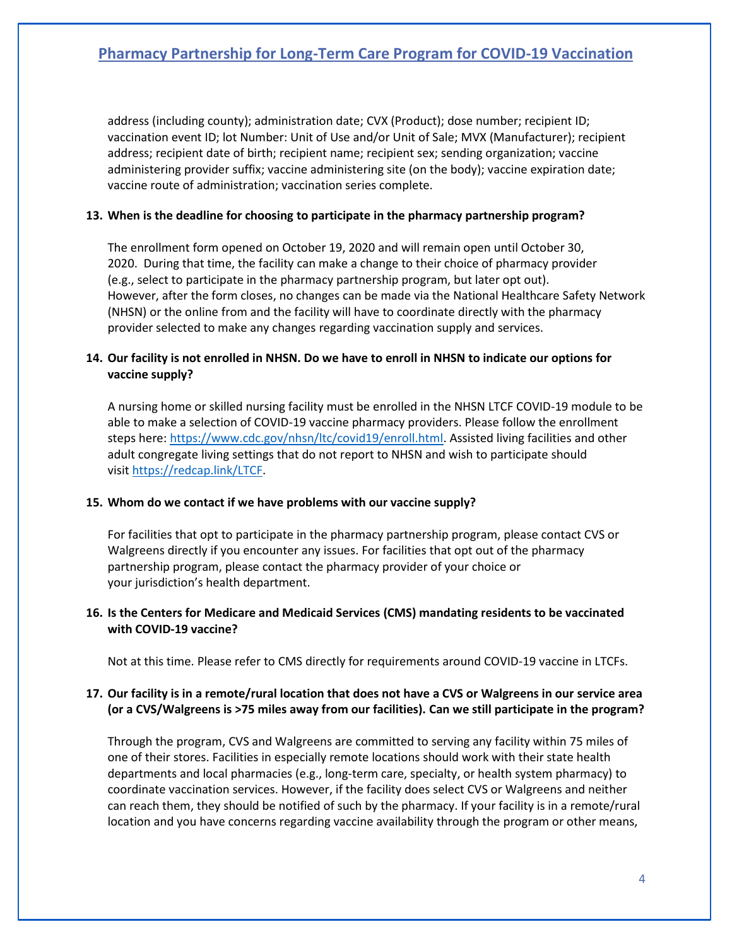# **Pharmacy Partnership for Long-Term Care Program for COVID-19 Vaccination**

address (including county); administration date; CVX (Product); dose number; recipient ID; vaccination event ID; lot Number: Unit of Use and/or Unit of Sale; MVX (Manufacturer); recipient address; recipient date of birth; recipient name; recipient sex; sending organization; vaccine administering provider suffix; vaccine administering site (on the body); vaccine expiration date; vaccine route of administration; vaccination series complete.

#### **13. When is the deadline for choosing to participate in the pharmacy partnership program?**

The enrollment form opened on October 19, 2020 and will remain open until October 30, 2020. During that time, the facility can make a change to their choice of pharmacy provider (e.g., select to participate in the pharmacy partnership program, but later opt out). However, after the form closes, no changes can be made via the National Healthcare Safety Network (NHSN) or the online from and the facility will have to coordinate directly with the pharmacy provider selected to make any changes regarding vaccination supply and services.

# **14. Our facility is not enrolled in NHSN. Do we have to enroll in NHSN to indicate our options for vaccine supply?**

A nursing home or skilled nursing facility must be enrolled in the NHSN LTCF COVID-19 module to be able to make a selection of COVID-19 vaccine pharmacy providers. Please follow the enrollment steps here: [https://www.cdc.gov/nhsn/ltc/covid19/enroll.html.](https://www.cdc.gov/nhsn/ltc/covid19/enroll.html) Assisted living facilities and other adult congregate living settings that do not report to NHSN and wish to participate should visit <https://redcap.link/LTCF>.   

#### **15. Whom do we contact if we have problems with our vaccine supply?**

For facilities that opt to participate in the pharmacy partnership program, please contact CVS or Walgreens directly if you encounter any issues. For facilities that opt out of the pharmacy partnership program, please contact the pharmacy provider of your choice or your jurisdiction's health department.  

### **16. Is the Centers for Medicare and Medicaid Services (CMS) mandating residents to be vaccinated with COVID-19 vaccine?**

Not at this time. Please refer to CMS directly for requirements around COVID-19 vaccine in LTCFs.

### **17. Our facility is in a remote/rural location that does not have a CVS or Walgreens in our service area (or a CVS/Walgreens is >75 miles away from our facilities). Can we still participate in the program?**

Through the program, CVS and Walgreens are committed to serving any facility within 75 miles of one of their stores. Facilities in especially remote locations should work with their state health departments and local pharmacies (e.g., long-term care, specialty, or health system pharmacy) to coordinate vaccination services. However, if the facility does select CVS or Walgreens and neither can reach them, they should be notified of such by the pharmacy. If your facility is in a remote/rural location and you have concerns regarding vaccine availability through the program or other means,